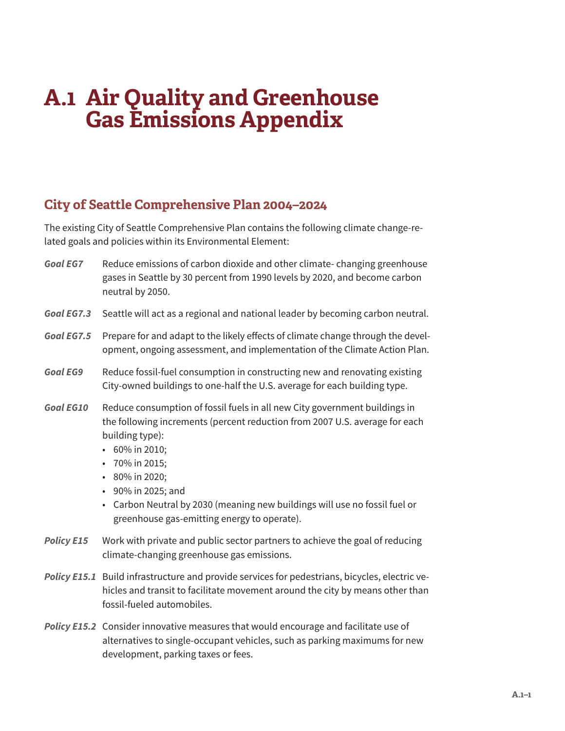# **A.1 Air Quality and Greenhouse Gas Emissions Appendix**

# **City of Seattle Comprehensive Plan 2004–2024**

The existing City of Seattle Comprehensive Plan contains the following climate change-related goals and policies within its Environmental Element:

- *Goal EG7* Reduce emissions of carbon dioxide and other climate- changing greenhouse gases in Seattle by 30 percent from 1990 levels by 2020, and become carbon neutral by 2050.
- *Goal EG7.3* Seattle will act as a regional and national leader by becoming carbon neutral.
- *Goal EG7.5* Prepare for and adapt to the likely effects of climate change through the development, ongoing assessment, and implementation of the Climate Action Plan.
- *Goal EG9* Reduce fossil-fuel consumption in constructing new and renovating existing City-owned buildings to one-half the U.S. average for each building type.
- *Goal EG10* Reduce consumption of fossil fuels in all new City government buildings in the following increments (percent reduction from 2007 U.S. average for each building type):
	- 60% in 2010;
	- 70% in 2015;
	- 80% in 2020;
	- 90% in 2025; and
	- Carbon Neutral by 2030 (meaning new buildings will use no fossil fuel or greenhouse gas-emitting energy to operate).
- *Policy E15* Work with private and public sector partners to achieve the goal of reducing climate-changing greenhouse gas emissions.
- *Policy E15.1* Build infrastructure and provide services for pedestrians, bicycles, electric vehicles and transit to facilitate movement around the city by means other than fossil-fueled automobiles.
- *Policy E15.2* Consider innovative measures that would encourage and facilitate use of alternatives to single-occupant vehicles, such as parking maximums for new development, parking taxes or fees.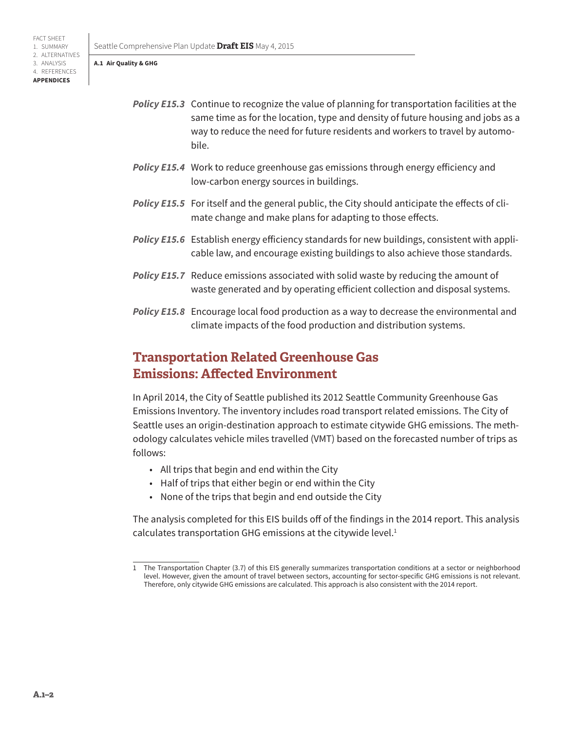#### **A.1 Air Quality & GHG**

FACT SHEET 1. SUMMARY 2. ALTERNATIVES 3. ANALYSIS 4. REFERENCES **APPENDICES**

- *Policy E15.3* Continue to recognize the value of planning for transportation facilities at the same time as for the location, type and density of future housing and jobs as a way to reduce the need for future residents and workers to travel by automobile.
- *Policy E15.4* Work to reduce greenhouse gas emissions through energy efficiency and low-carbon energy sources in buildings.
- *Policy E15.5* For itself and the general public, the City should anticipate the effects of climate change and make plans for adapting to those effects.
- *Policy E15.6* Establish energy efficiency standards for new buildings, consistent with applicable law, and encourage existing buildings to also achieve those standards.
- *Policy E15.7* Reduce emissions associated with solid waste by reducing the amount of waste generated and by operating efficient collection and disposal systems.
- *Policy E15.8* Encourage local food production as a way to decrease the environmental and climate impacts of the food production and distribution systems.

# **Transportation Related Greenhouse Gas Emissions: Affected Environment**

In April 2014, the City of Seattle published its 2012 Seattle Community Greenhouse Gas Emissions Inventory. The inventory includes road transport related emissions. The City of Seattle uses an origin-destination approach to estimate citywide GHG emissions. The methodology calculates vehicle miles travelled (VMT) based on the forecasted number of trips as follows:

- All trips that begin and end within the City
- Half of trips that either begin or end within the City
- None of the trips that begin and end outside the City

The analysis completed for this EIS builds off of the findings in the 2014 report. This analysis calculates transportation GHG emissions at the citywide level.<sup>1</sup>

<sup>1</sup> The Transportation Chapter (3.7) of this EIS generally summarizes transportation conditions at a sector or neighborhood level. However, given the amount of travel between sectors, accounting for sector-specific GHG emissions is not relevant. Therefore, only citywide GHG emissions are calculated. This approach is also consistent with the 2014 report.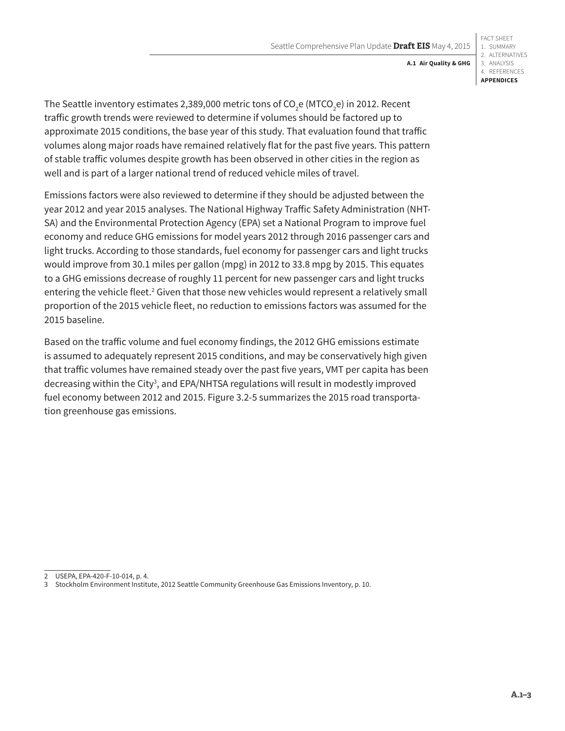**A.1 Air Quality & GHG**

The Seattle inventory estimates 2,389,000 metric tons of CO<sub>2</sub>e (MTCO<sub>2</sub>e) in 2012. Recent traffic growth trends were reviewed to determine if volumes should be factored up to approximate 2015 conditions, the base year of this study. That evaluation found that traffic volumes along major roads have remained relatively flat for the past five years. This pattern of stable traffic volumes despite growth has been observed in other cities in the region as well and is part of a larger national trend of reduced vehicle miles of travel.

Emissions factors were also reviewed to determine if they should be adjusted between the year 2012 and year 2015 analyses. The National Highway Traffic Safety Administration (NHT-SA) and the Environmental Protection Agency (EPA) set a National Program to improve fuel economy and reduce GHG emissions for model years 2012 through 2016 passenger cars and light trucks. According to those standards, fuel economy for passenger cars and light trucks would improve from 30.1 miles per gallon (mpg) in 2012 to 33.8 mpg by 2015. This equates to a GHG emissions decrease of roughly 11 percent for new passenger cars and light trucks entering the vehicle fleet.<sup>2</sup> Given that those new vehicles would represent a relatively small proportion of the 2015 vehicle fleet, no reduction to emissions factors was assumed for the 2015 baseline.

Based on the traffic volume and fuel economy findings, the 2012 GHG emissions estimate is assumed to adequately represent 2015 conditions, and may be conservatively high given that traffic volumes have remained steady over the past five years, VMT per capita has been decreasing within the City<sup>3</sup>, and EPA/NHTSA regulations will result in modestly improved fuel economy between 2012 and 2015. Figure 3.2-5 summarizes the 2015 road transportation greenhouse gas emissions.

<sup>2</sup> USEPA, EPA-420-F-10-014, p. 4.

<sup>3</sup> Stockholm Environment Institute, 2012 Seattle Community Greenhouse Gas Emissions Inventory, p. 10.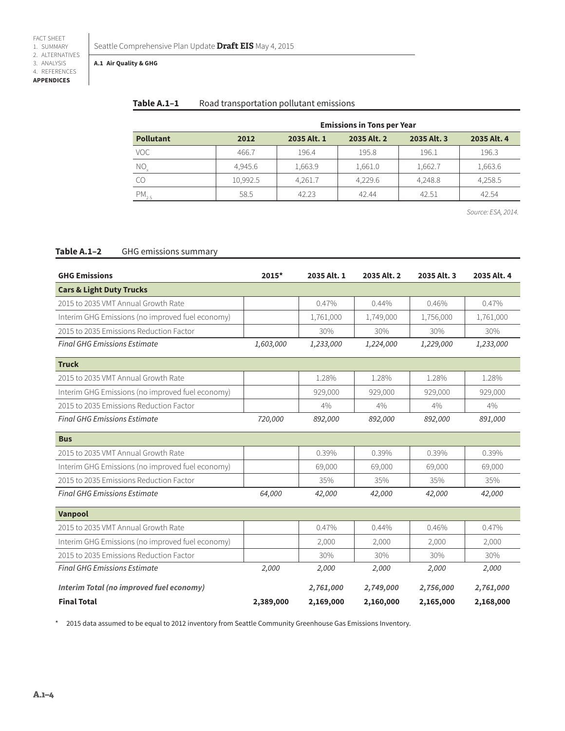#### **A.1 Air Quality & GHG**

# Table A.1-1 Road transportation pollutant emissions

|                     | <b>Emissions in Tons per Year</b> |             |             |             |             |  |
|---------------------|-----------------------------------|-------------|-------------|-------------|-------------|--|
| <b>Pollutant</b>    | 2012                              | 2035 Alt. 1 | 2035 Alt. 2 | 2035 Alt. 3 | 2035 Alt. 4 |  |
| <b>VOC</b>          | 466.7                             | 196.4       | 195.8       | 196.1       | 196.3       |  |
| $\overline{NO}_{x}$ | 4.945.6                           | 1,663.9     | 1,661.0     | 1,662.7     | 1,663.6     |  |
| CO                  | 10,992.5                          | 4,261.7     | 4.229.6     | 4,248.8     | 4,258.5     |  |
| $PM_{2.5}$          | 58.5                              | 42.23       | 42.44       | 42.51       | 42.54       |  |

*Source: ESA, 2014.*

### **Table A.1–2** GHG emissions summary

| <b>GHG Emissions</b>                             | 2015*     | 2035 Alt. 1 | 2035 Alt. 2 | 2035 Alt. 3 | 2035 Alt. 4 |
|--------------------------------------------------|-----------|-------------|-------------|-------------|-------------|
| <b>Cars &amp; Light Duty Trucks</b>              |           |             |             |             |             |
| 2015 to 2035 VMT Annual Growth Rate              |           | 0.47%       | 0.44%       | 0.46%       | 0.47%       |
| Interim GHG Emissions (no improved fuel economy) |           | 1,761,000   | 1,749,000   | 1,756,000   | 1,761,000   |
| 2015 to 2035 Emissions Reduction Factor          |           | 30%         | 30%         | 30%         | 30%         |
| <b>Final GHG Emissions Estimate</b>              | 1,603,000 | 1,233,000   | 1,224,000   | 1,229,000   | 1,233,000   |
| <b>Truck</b>                                     |           |             |             |             |             |
| 2015 to 2035 VMT Annual Growth Rate              |           | 1.28%       | 1.28%       | 1.28%       | 1.28%       |
| Interim GHG Emissions (no improved fuel economy) |           | 929,000     | 929,000     | 929,000     | 929,000     |
| 2015 to 2035 Emissions Reduction Factor          |           | 4%          | 4%          | 4%          | 4%          |
| <b>Final GHG Emissions Estimate</b>              | 720,000   | 892,000     | 892,000     | 892,000     | 891,000     |
| <b>Bus</b>                                       |           |             |             |             |             |
| 2015 to 2035 VMT Annual Growth Rate              |           | 0.39%       | 0.39%       | 0.39%       | 0.39%       |
| Interim GHG Emissions (no improved fuel economy) |           | 69,000      | 69,000      | 69,000      | 69,000      |
| 2015 to 2035 Emissions Reduction Factor          |           | 35%         | 35%         | 35%         | 35%         |
| <b>Final GHG Emissions Estimate</b>              | 64,000    | 42,000      | 42,000      | 42,000      | 42,000      |
| Vanpool                                          |           |             |             |             |             |
| 2015 to 2035 VMT Annual Growth Rate              |           | 0.47%       | 0.44%       | 0.46%       | 0.47%       |
| Interim GHG Emissions (no improved fuel economy) |           | 2,000       | 2,000       | 2,000       | 2,000       |
| 2015 to 2035 Emissions Reduction Factor          |           | 30%         | 30%         | 30%         | 30%         |
| <b>Final GHG Emissions Estimate</b>              | 2,000     | 2,000       | 2,000       | 2,000       | 2,000       |
| <b>Interim Total (no improved fuel economy)</b>  |           | 2,761,000   | 2,749,000   | 2,756,000   | 2,761,000   |
| <b>Final Total</b>                               | 2,389,000 | 2,169,000   | 2,160,000   | 2,165,000   | 2,168,000   |

\* 2015 data assumed to be equal to 2012 inventory from Seattle Community Greenhouse Gas Emissions Inventory.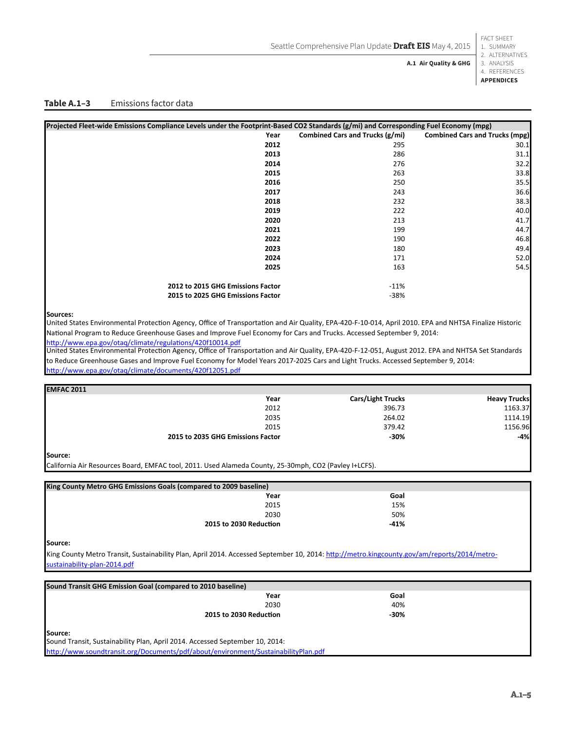FACT SHEET 1. SUMMARY

**A.1 Air Quality & GHG**

2. ALTERNATIVES 3. ANALYSIS 4. REFERENCES **APPENDICES**

#### Table A.1-3 Emissions factor data

| Projected Fleet-wide Emissions Compliance Levels under the Footprint-Based CO2 Standards (g/mi) and Corresponding Fuel Economy (mpg) |                                 |                                       |
|--------------------------------------------------------------------------------------------------------------------------------------|---------------------------------|---------------------------------------|
| Year                                                                                                                                 | Combined Cars and Trucks (g/mi) | <b>Combined Cars and Trucks (mpg)</b> |
| 2012                                                                                                                                 | 295                             | 30.1                                  |
| 2013                                                                                                                                 | 286                             | 31.1                                  |
| 2014                                                                                                                                 | 276                             | 32.2                                  |
| 2015                                                                                                                                 | 263                             | 33.8                                  |
| 2016                                                                                                                                 | 250                             | 35.5                                  |
| 2017                                                                                                                                 | 243                             | 36.6                                  |
| 2018                                                                                                                                 | 232                             | 38.3                                  |
| 2019                                                                                                                                 | 222                             | 40.0                                  |
| 2020                                                                                                                                 | 213                             | 41.7                                  |
| 2021                                                                                                                                 | 199                             | 44.7                                  |
| 2022                                                                                                                                 | 190                             | 46.8                                  |
| 2023                                                                                                                                 | 180                             | 49.4                                  |
| 2024                                                                                                                                 | 171                             | 52.0                                  |
| 2025                                                                                                                                 | 163                             | 54.5                                  |
| 2012 to 2015 GHG Emissions Factor                                                                                                    | $-11%$                          |                                       |
| 2015 to 2025 GHG Emissions Factor                                                                                                    | $-38%$                          |                                       |

#### **Sources:**

United States Environmental Protection Agency, Office of Transportation and Air Quality, EPA-420-F-10-014, April 2010. EPA and NHTSA Finalize Historic National Program to Reduce Greenhouse Gases and Improve Fuel Economy for Cars and Trucks. Accessed September 9, 2014: http://www.epa.gov/otaq/climate/regulations/420f10014.pdf

United States Environmental Protection Agency, Office of Transportation and Air Quality, EPA-420-F-12-051, August 2012. EPA and NHTSA Set Standards to Reduce Greenhouse Gases and Improve Fuel Economy for Model Years 2017-2025 Cars and Light Trucks. Accessed September 9, 2014: http://www.epa.gov/otaq/climate/documents/420f12051.pdf

| <b>EMFAC 2011</b>                                                                                     |      |                          |                     |
|-------------------------------------------------------------------------------------------------------|------|--------------------------|---------------------|
|                                                                                                       | Year | <b>Cars/Light Trucks</b> | <b>Heavy Trucks</b> |
|                                                                                                       | 2012 | 396.73                   | 1163.37             |
|                                                                                                       | 2035 | 264.02                   | 1114.19             |
|                                                                                                       | 2015 | 379.42                   | 1156.96             |
| 2015 to 2035 GHG Emissions Factor                                                                     |      | -30%                     | -4%                 |
| Source:                                                                                               |      |                          |                     |
| California Air Resources Board, EMFAC tool, 2011. Used Alameda County, 25-30mph, CO2 (Pavley I+LCFS). |      |                          |                     |
| King County Metro GHG Emissions Goals (compared to 2009 baseline)                                     |      |                          |                     |
|                                                                                                       |      |                          |                     |
|                                                                                                       | Year | Goal                     |                     |
|                                                                                                       | 2015 | 15%                      |                     |
|                                                                                                       | 2030 |                          |                     |
|                                                                                                       |      | 50%                      |                     |

**Source:**

King County Metro Transit, Sustainability Plan, April 2014. Accessed September 10, 2014: http://metro.kingcounty.gov/am/reports/2014/metroustainability-plan-2014.pdf

| Sound Transit GHG Emission Goal (compared to 2010 baseline)                                                                                                                   |                        |        |  |
|-------------------------------------------------------------------------------------------------------------------------------------------------------------------------------|------------------------|--------|--|
|                                                                                                                                                                               | Year                   | Goal   |  |
|                                                                                                                                                                               | 2030                   | 40%    |  |
|                                                                                                                                                                               | 2015 to 2030 Reduction | $-30%$ |  |
|                                                                                                                                                                               |                        |        |  |
|                                                                                                                                                                               |                        |        |  |
| Source:<br>Sound Transit, Sustainability Plan, April 2014. Accessed September 10, 2014:<br>http://www.soundtransit.org/Documents/pdf/about/environment/SustainabilityPlan.pdf |                        |        |  |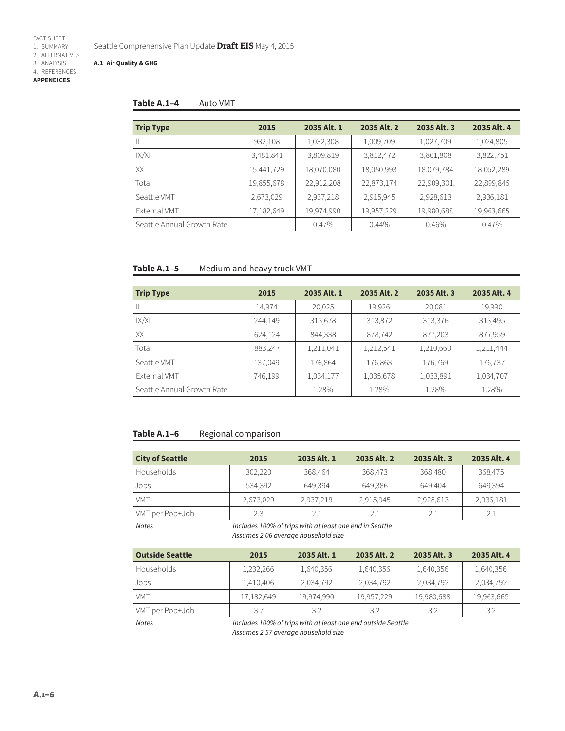**APPENDICES**

#### **A.1 Air Quality & GHG**

### **Table A.1–4** Auto VMT

| <b>Trip Type</b>           | 2015       | 2035 Alt. 1 | 2035 Alt. 2 | 2035 Alt. 3 | 2035 Alt. 4 |
|----------------------------|------------|-------------|-------------|-------------|-------------|
| $\mathbb{I}$               | 932,108    | 1,032,308   | 1,009,709   | 1,027,709   | 1,024,805   |
| IX/XI                      | 3,481,841  | 3,809,819   | 3,812,472   | 3,801,808   | 3,822,751   |
| XX                         | 15,441,729 | 18,070,080  | 18,050,993  | 18,079,784  | 18,052,289  |
| Total                      | 19,855,678 | 22,912,208  | 22,873,174  | 22,909,301, | 22,899,845  |
| Seattle VMT                | 2,673,029  | 2,937,218   | 2,915,945   | 2,928,613   | 2,936,181   |
| External VMT               | 17,182,649 | 19,974,990  | 19,957,229  | 19,980,688  | 19,963,665  |
| Seattle Annual Growth Rate |            | 0.47%       | $0.44\%$    | 0.46%       | 0.47%       |

# **Table A.1–5** Medium and heavy truck VMT

| <b>Trip Type</b>           | 2015    | 2035 Alt. 1 | 2035 Alt. 2 | 2035 Alt. 3 | 2035 Alt. 4 |
|----------------------------|---------|-------------|-------------|-------------|-------------|
| $\mathbb{H}$               | 14,974  | 20,025      | 19,926      | 20,081      | 19,990      |
| X/X                        | 244,149 | 313,678     | 313,872     | 313,376     | 313,495     |
| XX                         | 624,124 | 844,338     | 878,742     | 877,203     | 877,959     |
| Total                      | 883,247 | 1,211,041   | 1,212,541   | 1,210,660   | 1,211,444   |
| Seattle VMT                | 137,049 | 176,864     | 176,863     | 176,769     | 176,737     |
| External VMT               | 746,199 | 1,034,177   | 1,035,678   | 1,033,891   | 1,034,707   |
| Seattle Annual Growth Rate |         | 1.28%       | 1.28%       | 1.28%       | 1.28%       |

# Table A.1-6 Regional comparison

| <b>City of Seattle</b> | 2015                                                                                           | 2035 Alt. 1 | 2035 Alt. 2 | 2035 Alt. 3 | 2035 Alt. 4 |  |
|------------------------|------------------------------------------------------------------------------------------------|-------------|-------------|-------------|-------------|--|
| Households             | 302,220                                                                                        | 368,464     | 368,473     | 368,480     | 368,475     |  |
| Jobs                   | 534,392                                                                                        | 649,394     | 649,386     | 649,404     | 649,394     |  |
| <b>VMT</b>             | 2,673,029                                                                                      | 2,937,218   | 2,915,945   | 2,928,613   | 2,936,181   |  |
| VMT per Pop+Job        | 2.3                                                                                            | 2.1         | 2.1         | 2.1         | 2.1         |  |
| <b>Notes</b>           | Includes 100% of trips with at least one end in Seattle<br>Assumes 2.06 average household size |             |             |             |             |  |
| <b>Outside Seattle</b> | 2015                                                                                           | 2035 Alt. 1 | 2035 Alt. 2 | 2035 Alt. 3 | 2035 Alt. 4 |  |
| Households             | 1,232,266                                                                                      | 1,640,356   | 1,640,356   | 1,640,356   | 1,640,356   |  |
| Jobs                   | 1,410,406                                                                                      | 2,034,792   | 2,034,792   | 2,034,792   | 2,034,792   |  |
| <b>VMT</b>             | 17,182,649                                                                                     | 19,974,990  | 19,957,229  | 19,980,688  | 19,963,665  |  |
| VMT per Pop+Job        | 3.7                                                                                            | 3.2         | 3.2         | 3.2         | 3.2         |  |

*Notes Includes 100% of trips with at least one end outside Seattle Assumes 2.57 average household size*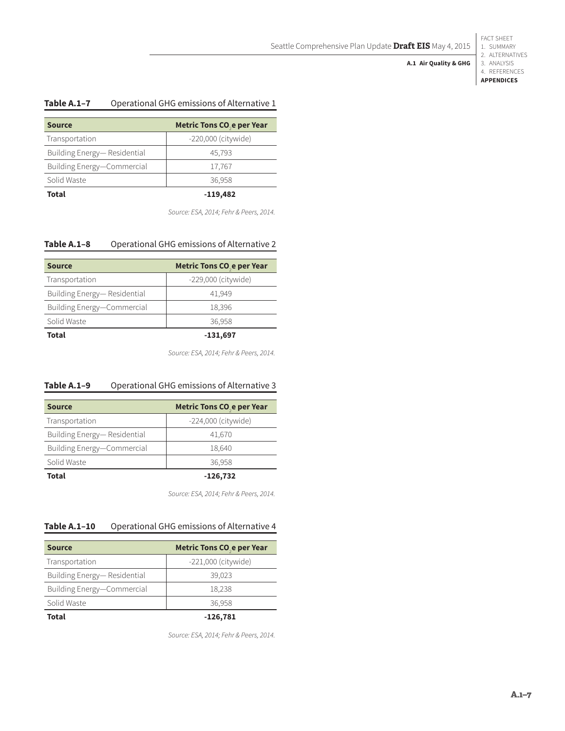FACT SHEET 1. SUMMARY

#### 2. ALTERNATIVES 3. ANALYSIS **A.1 Air Quality & GHG**

4. REFERENCES

**APPENDICES**

# **Table A.1–7** Operational GHG emissions of Alternative 1

| <b>Source</b>               | Metric Tons CO <sub>2</sub> e per Year |
|-----------------------------|----------------------------------------|
| Transportation              | -220,000 (citywide)                    |
| Building Energy-Residential | 45,793                                 |
| Building Energy-Commercial  | 17,767                                 |
| Solid Waste                 | 36,958                                 |
| <b>Total</b>                | $-119,482$                             |

*Source: ESA, 2014; Fehr & Peers, 2014.*

# **Table A.1–8** Operational GHG emissions of Alternative 2

| <b>Source</b>               | Metric Tons CO <sub>2</sub> e per Year |
|-----------------------------|----------------------------------------|
| Transportation              | $-229,000$ (citywide)                  |
| Building Energy-Residential | 41.949                                 |
| Building Energy-Commercial  | 18,396                                 |
| Solid Waste                 | 36,958                                 |
| Total                       | $-131,697$                             |

*Source: ESA, 2014; Fehr & Peers, 2014.*

# **Table A.1–9** Operational GHG emissions of Alternative 3

| <b>Source</b>               | Metric Tons CO <sub>2</sub> e per Year |
|-----------------------------|----------------------------------------|
| Transportation              | -224,000 (citywide)                    |
| Building Energy-Residential | 41,670                                 |
| Building Energy-Commercial  | 18,640                                 |
| Solid Waste                 | 36,958                                 |
| Total                       | $-126,732$                             |

*Source: ESA, 2014; Fehr & Peers, 2014.*

## **Table A.1–10** Operational GHG emissions of Alternative 4

| <b>Source</b>                | Metric Tons CO <sub>2</sub> e per Year |
|------------------------------|----------------------------------------|
| Transportation               | $-221,000$ (citywide)                  |
| Building Energy— Residential | 39.023                                 |
| Building Energy-Commercial   | 18,238                                 |
| Solid Waste                  | 36,958                                 |
| Total                        | $-126,781$                             |

*Source: ESA, 2014; Fehr & Peers, 2014.*